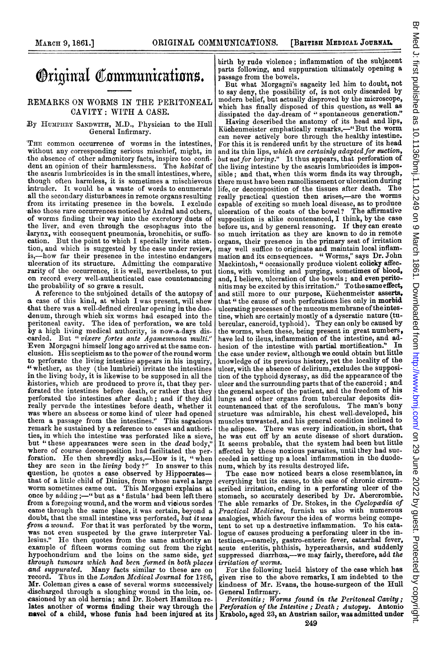# **Original Communications.**

## REMARKS ON WORMS IN THE PERITONEAL CAVITY: WITH A CASE.

#### By HUMPHRY SANDWITH, M.D., Physician to the Hull General Infirmary.

'THE common occurrence of worms in the intestines, without any corresponding serious mischief, might, in the absence of other admonitory facts, inspire too confident an opinion of their harmlessness. The habitat of the ascaris lumbricoides is in the small intestines, where, though often harmless, it is sometimes a mischievous intruder. It would be a waste of words to enumerate all the secondary disturbances in remote organs resulting from its irritating presence in the bowels. I exclude also those rare occurrences noticed by Andral and others, of worms finding their way into the excretory ducts of the liver, and even through the oesophagus into the darynx, with consequent pneumonia, bronchitis, or suffocation. But the point to which I specially invite attention, and which is suggested by the case under review, is,-how far their presence in the intestine endangers ulceration of its structure. Admitting the comparative rarity of the occurrence, it is well, nevertheless, to put on record every well-authenticated case countenancing the probability of so grave <sup>a</sup> result.

A reference to the subjoined details of the autopsy of a case of this kind, at which I was present, will shew that there was a well-defined circular opening in the duodenum, through which six worms had escaped into the peritoneal cavity. The idea of perforation, we are told by a high living medical authority, is now-a-days discarded. But "vixere fortes ante Agamemnona multi." Even Morgagni himself long ago arrived at the same conclusion. His scepticism as to the power of the round worm to perforate the living intestine appears in his inquiry, 4" whether, as they (tthe lumbrici) irritate the intestines in the living body, it is likewise to be supposed in all the histories, which are produced to prove it, that they perforated the intestines before death, or rather that they perforated the intestines after death; and if they did really pervade the intestines before death, whether it was where an abscess or some kind of ulcer had opened them <sup>a</sup> passage from the intestines." This sagacious remark he sustained by <sup>a</sup> reference to cases and authorities, in which the intestine was perforated like <sup>a</sup> sieve, but "these appearances were seen in the dead body, where of course decomposition had facilitated the perforation. He then shrewdly asks,—How is it, "when<br>they are seen in the *living* body?" In answer to this question, he quotes a case observed by Hippocratesthat of a little child of Dinius, from whose navel a large worm sometimes came out. This Morgagni explains at once by adding ;- " but as a ' fistula' had been left there from <sup>a</sup> foregoing wound, and the worm and vicious sordes came through the same place, it was certain, beyond <sup>a</sup> doubt, that the small intestine was perforated, but it was from a wound. For that it was perforated by the worm, was not even suspected by the grave interpreter Vallesius." He then quotes from the same authority an example of fifteen worms coming out from the right hypochondrium and the loins on the same side, yet through tumours which had been formed in both places and suppurated. Many facts similar to these are on and suppurated. Many facts similar to these are on record. Thus in the London Medical Journal for 1786. Thus in the London Mcdical Journal for 1786, Mr. Coleman gives <sup>a</sup> case of several worms successively discharged through a sloughing wound in the loin, occasioned by an old hernia; and Dr. Robert Hamilton re.

birth by rude violence; inflammation of the subjacent parts following, and suppuration ultimately opening a passage from the bowels.

But what Morgagni's sagacity led him to doubt, not to say deny, the possibility of, is not only discarded by modern belief, but actually disproved by the microscope, which has finally disposed of this question, as well as dissipated the day-dream of "spontaneous generation."

Having described the anatomy of its head and lips,<br>Küchenmeister emphatically remarks,—"But the worm can never actively bore through the healthy intestine. For this it is rendered unfit by the structure of its head and its thin lips, which are certainly adapted for suction,<br>but not for boring." It thus appears, that perforation of the living intestine by the ascaris lumbricoides is impossible; and that, when this worm finds its way through, there must have been ramollissement or ulceration during life, or decomposition of the tissues after death. The really practical question then arises,-are the worms capable of exciting so much local disease, as to produce ulceration of the coats of the bowel? The affirmative supposition is alike countenanced, I think, by the case before us, and by general reasoning. If they can create so much irritation as they are known to do in remote organs, their presence in the primary seat of irritation may well suffice to originate and maintain local inflammation and its consequences. " Worms," says Dr. John Mackintosh, " occasionally produce violent colicky affections, with vomiting and purging, sometimes of biood, and, I believe, ulceration of the bowels; and even perito-<br>nitismay be excited by this irritation." To the same effect, and still more to our purpose, Küchenmeister asserts, that " the cause of such perforations lies only in morbid ulcerating processes of the mucous membrane of the intestine, which are certainly mostly of <sup>a</sup> dyscratic nature (tu-bercular, cancroid, typhoid). They can only be caused by the worms, when these, being present in great numbers, have led to ileus, inflammation of the intestine, and adhesion of the intestine with partial mortification." In hesion of the intestine with partial mortification." the case under review, although we could obtain but little knowledge of its previous history, yet the locality of the ulcer, with the absence of delirium, excludes the supposition of the typhoid dyscrasy, as did the appearance of the ulcer and the surrounding parts that of the cancroid; and the general aspect of the patient, and the freedom of his lungs and other organs from tubercular deposits discountenanced that of the scrofulous. The man's bony structure was admirable, his chest well-developed, his muscles unwasted, and his general condition inclined to the adipose. There was every indication, in short, that he was cut off by an acute disease of short duration. It seems probable, that the system had been but little affected by these noxious parasites, until they had succeeded in setting up <sup>a</sup> local inflammation in the duodenum, which by its results destroyed life.

The case now noticed bears <sup>a</sup> close resemblance, in everything but its cause, to the case of chronic circumscribed irritation, ending in <sup>a</sup> perforating ulcer of the stomach, so accurately described by Dr. Abercrombie. The able remarks of Dr. Stokes, in the Cyclopædia of Practical Medicine, furnish us also with numerous analogies, which favour the idea of worms being competent to set up <sup>a</sup> destructive inflammation. To his catalogue of causes producing <sup>a</sup> perforating ulcer in the intestines,—namely, gastro-enteric fever, catarrhal fever, acute enteritis, phthisis, hypercatharsis, and suddenly suppressed diarrhœa,-we may fairly, therefore, add the irritation of worms.

For the following lucid history of the case which has given rise to the above remarks, <sup>I</sup> am indebted to the kindness of Mr. Evans, the house-surgeon of the Hull General Infirmary.

lates another of worms finding their way through the | Perforation of the Intestine; Death; Autopsy. Antonio<br>**nav**el of a child, whose funis had been injured at its | Krabolo, aged 23, an Austrian sailor, was admitted unde Peritonitis; Worms found in the Peritoneal Cavity;<br>Perforation of the Intestine; Death; Autopsy. Antonio